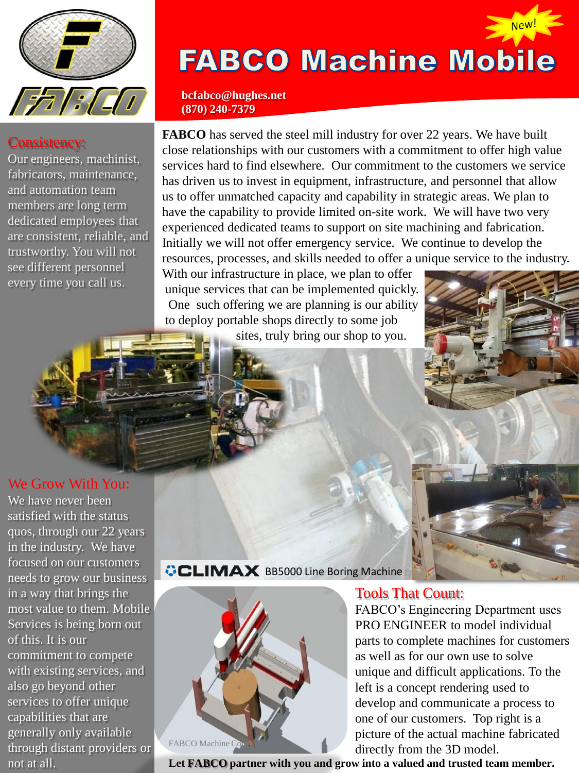

#### Consistency:

Our engineers, machinist, fabricators, maintenance, and automation team members are long term dedicated employees that are consistent, reliable, and trustworthy. You will not see different personnel every time you call us.

## **FABCO Machine Mobile**

New!

**bcfabco@hughes.net (870) 240-7379**

**FABCO** has served the steel mill industry for over 22 years. We have built close relationships with our customers with a commitment to offer high value services hard to find elsewhere. Our commitment to the customers we service has driven us to invest in equipment, infrastructure, and personnel that allow us to offer unmatched capacity and capability in strategic areas. We plan to have the capability to provide limited on-site work. We will have two very experienced dedicated teams to support on site machining and fabrication. Initially we will not offer emergency service. We continue to develop the resources, processes, and skills needed to offer a unique service to the industry.

With our infrastructure in place, we plan to offer unique services that can be implemented quickly. One such offering we are planning is our ability to deploy portable shops directly to some job

sites, truly bring our shop to you.



We have never been satisfied with the status quos, through our 22 years in the industry. We have focused on our customers needs to grow our business in a way that brings the most value to them. Mobile Services is being born out of this. It is our commitment to compete with existing services, and also go beyond other services to offer unique capabilities that are generally only available through distant providers or not at all.

#### **CLIMAX** BB5000 Line Boring Machine



#### Tools That Count:

FABCO's Engineering Department uses PRO ENGINEER to model individual parts to complete machines for customers as well as for our own use to solve unique and difficult applications. To the left is a concept rendering used to develop and communicate a process to one of our customers. Top right is a picture of the actual machine fabricated directly from the 3D model.

**Let FABCO partner with you and grow into a valued and trusted team member.**